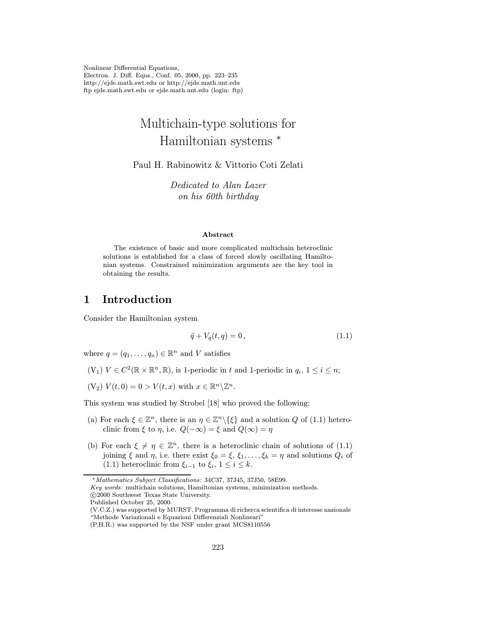Nonlinear Differential Equations, Electron. J. Diff. Eqns., Conf. 05, 2000, pp. 223–235 http://ejde.math.swt.edu or http://ejde.math.unt.edu ftp ejde.math.swt.edu or ejde.math.unt.edu (login: ftp)

# Multichain-type solutions for Hamiltonian systems <sup>∗</sup>

Paul H. Rabinowitz & Vittorio Coti Zelati

Dedicated to Alan Lazer on his 60th birthday

#### Abstract

The existence of basic and more complicated multichain heteroclinic solutions is established for a class of forced slowly oscillating Hamiltonian systems. Constrained minimization arguments are the key tool in obtaining the results.

# 1 Introduction

Consider the Hamiltonian system

$$
\ddot{q} + V_q(t, q) = 0, \t\t(1.1)
$$

where  $q = (q_1, \ldots, q_n) \in \mathbb{R}^n$  and V satisfies

- (V<sub>1</sub>)  $V \in C^2(\mathbb{R} \times \mathbb{R}^n, \mathbb{R})$ , is 1-periodic in t and 1-periodic in  $q_i$ ,  $1 \le i \le n$ ;
- $(V_2) V(t, 0) = 0 > V(t, x) \text{ with } x \in \mathbb{R}^n \backslash \mathbb{Z}^n.$

This system was studied by Strobel [18] who proved the following:

- (a) For each  $\xi \in \mathbb{Z}^n$ , there is an  $\eta \in \mathbb{Z}^n \setminus {\xi}$  and a solution Q of (1.1) heteroclinic from  $\xi$  to  $\eta$ , i.e.  $Q(-\infty) = \xi$  and  $Q(\infty) = \eta$
- (b) For each  $\xi \neq \eta \in \mathbb{Z}^n$ , there is a heteroclinic chain of solutions of (1.1) joining  $\xi$  and  $\eta$ , i.e. there exist  $\xi_0 = \xi$ ,  $\xi_1, \ldots, \xi_k = \eta$  and solutions  $Q_i$  of (1.1) heteroclinic from  $\xi_{i-1}$  to  $\xi_i$ ,  $1 \leq i \leq k$ .

Published October 25, 2000.

<sup>∗</sup>Mathematics Subject Classifications: 34C37, 37J45, 37J50, 58E99.

Key words: multichain solutions, Hamiltonian systems, minimization methods.

c 2000 Southwest Texas State University.

<sup>(</sup>V.C.Z.) was supported by MURST, Programma di richerca scientifica di interesse nazionale "Methode Variazionali e Equazioni Differenziali Nonlineari"

<sup>(</sup>P.H.R.) was supported by the NSF under grant MCS8110556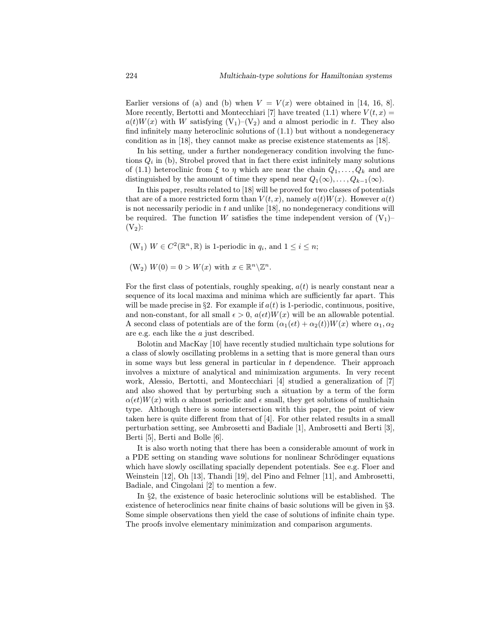Earlier versions of (a) and (b) when  $V = V(x)$  were obtained in [14, 16, 8]. More recently, Bertotti and Montecchiari [7] have treated (1.1) where  $V(t, x) =$  $a(t)W(x)$  with W satisfying  $(V_1)-(V_2)$  and a almost periodic in t. They also find infinitely many heteroclinic solutions of (1.1) but without a nondegeneracy condition as in [18], they cannot make as precise existence statements as [18].

In his setting, under a further nondegeneracy condition involving the functions  $Q_i$  in (b), Strobel proved that in fact there exist infinitely many solutions of (1.1) heteroclinic from  $\xi$  to  $\eta$  which are near the chain  $Q_1,\ldots,Q_k$  and are distinguished by the amount of time they spend near  $Q_1(\infty), \ldots, Q_{k-1}(\infty)$ .

In this paper, results related to [18] will be proved for two classes of potentials that are of a more restricted form than  $V(t, x)$ , namely  $a(t)W(x)$ . However  $a(t)$ is not necessarily periodic in  $t$  and unlike [18], no nondegeneracy conditions will be required. The function W satisfies the time independent version of  $(V_1)$  $(V<sub>2</sub>)$ :

(W<sub>1</sub>)  $W \in C^2(\mathbb{R}^n, \mathbb{R})$  is 1-periodic in  $q_i$ , and  $1 \leq i \leq n$ ;

 $(W_2) W(0) = 0 > W(x)$  with  $x \in \mathbb{R}^n \backslash \mathbb{Z}^n$ .

For the first class of potentials, roughly speaking,  $a(t)$  is nearly constant near a sequence of its local maxima and minima which are sufficiently far apart. This will be made precise in §2. For example if  $a(t)$  is 1-periodic, continuous, positive, and non-constant, for all small  $\epsilon > 0$ ,  $a(\epsilon t)W(x)$  will be an allowable potential. A second class of potentials are of the form  $(\alpha_1(\epsilon t) + \alpha_2(t))W(x)$  where  $\alpha_1, \alpha_2$ are e.g. each like the a just described.

Bolotin and MacKay [10] have recently studied multichain type solutions for a class of slowly oscillating problems in a setting that is more general than ours in some ways but less general in particular in  $t$  dependence. Their approach involves a mixture of analytical and minimization arguments. In very recent work, Alessio, Bertotti, and Montecchiari  $|4|$  studied a generalization of  $|7|$ and also showed that by perturbing such a situation by a term of the form  $\alpha(\epsilon t)W(x)$  with  $\alpha$  almost periodic and  $\epsilon$  small, they get solutions of multichain type. Although there is some intersection with this paper, the point of view taken here is quite different from that of [4]. For other related results in a small perturbation setting, see Ambrosetti and Badiale [1], Ambrosetti and Berti [3], Berti [5], Berti and Bolle [6].

It is also worth noting that there has been a considerable amount of work in a PDE setting on standing wave solutions for nonlinear Schrödinger equations which have slowly oscillating spacially dependent potentials. See e.g. Floer and Weinstein [12], Oh [13], Thandi [19], del Pino and Felmer [11], and Ambrosetti, Badiale, and Cingolani [2] to mention a few.

In §2, the existence of basic heteroclinic solutions will be established. The existence of heteroclinics near finite chains of basic solutions will be given in §3. Some simple observations then yield the case of solutions of infinite chain type. The proofs involve elementary minimization and comparison arguments.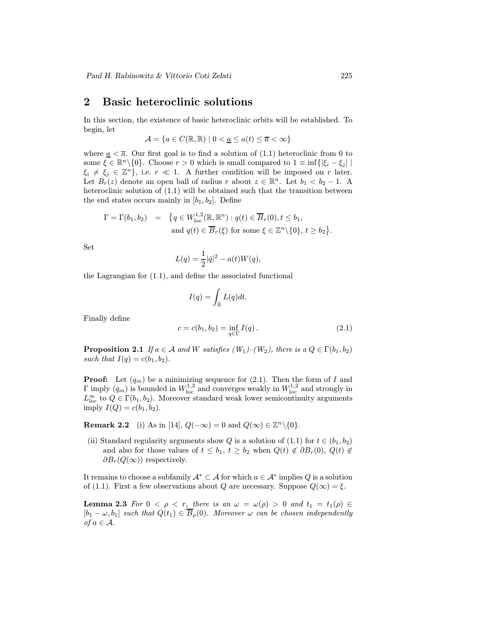### 2 Basic heteroclinic solutions

In this section, the existence of basic heteroclinic orbits will be established. To begin, let

$$
\mathcal{A} = \{ a \in C(\mathbb{R}, \mathbb{R}) \mid 0 < \underline{a} \le a(t) \le \overline{a} < \infty \}
$$

where  $\underline{a} < \overline{a}$ . Our first goal is to find a solution of (1.1) heteroclinic from 0 to some  $\xi \in \mathbb{R}^n \setminus \{0\}$ . Choose  $r > 0$  which is small compared to  $1 \equiv \inf \{|\xi_i - \xi_j| \mid$  $\xi_i \neq \xi_j \in \mathbb{Z}^n$ , i.e.  $r \ll 1$ . A further condition will be imposed on r later. Let  $B_r(z)$  denote an open ball of radius r about  $z \in \mathbb{R}^n$ . Let  $b_1 < b_2 - 1$ . A heteroclinic solution of (1.1) will be obtained such that the transition between the end states occurs mainly in  $[b_1, b_2]$ . Define

$$
\Gamma = \Gamma(b_1, b_2) = \{q \in W^{1,2}_{loc}(\mathbb{R}, \mathbb{R}^n) : q(t) \in \overline{B}_r(0), t \le b_1, \\ \text{and } q(t) \in \overline{B}_r(\xi) \text{ for some } \xi \in \mathbb{Z}^n \setminus \{0\}, t \ge b_2 \}.
$$

Set

$$
L(q) = \frac{1}{2} |\dot{q}|^2 - a(t)W(q),
$$

the Lagrangian for (1.1), and define the associated functional

$$
I(q) = \int_{\mathbb{R}} L(q) dt.
$$

Finally define

$$
c = c(b_1, b_2) = \inf_{q \in \Gamma} I(q).
$$
 (2.1)

**Proposition 2.1** If  $a \in \mathcal{A}$  and W satisfies  $(W_1)$ – $(W_2)$ , there is  $a Q \in \Gamma(b_1, b_2)$ such that  $I(q) = c(b_1, b_2)$ .

**Proof:** Let  $(q_m)$  be a minimizing sequence for  $(2.1)$ . Then the form of I and  $\Gamma$  imply  $(q_m)$  is bounded in  $W^{1,2}_{\text{loc}}$  and converges weakly in  $W^{1,2}_{\text{loc}}$  and strongly in  $L^{\infty}_{\text{loc}}$  to  $Q \in \Gamma(b_1, b_2)$ . Moreover standard weak lower semicontinuity arguments imply  $I(Q) = c(b_1, b_2)$ .

Remark 2.2 (i) As in [14],  $Q(-\infty) = 0$  and  $Q(\infty) \in \mathbb{Z}^n \setminus \{0\}.$ 

(ii) Standard regularity arguments show Q is a solution of (1.1) for  $t \in (b_1, b_2)$ and also for those values of  $t \leq b_1, t \geq b_2$  when  $Q(t) \notin \partial B_r(0), Q(t) \notin$  $\partial B_r(Q(\infty))$  respectively.

It remains to choose a subfamily  $\mathcal{A}^* \subset \mathcal{A}$  for which  $a \in \mathcal{A}^*$  implies Q is a solution of (1.1). First a few observations about Q are necessary. Suppose  $Q(\infty) = \xi$ .

**Lemma 2.3** For  $0 < \rho < r$ , there is an  $\omega = \omega(\rho) > 0$  and  $t_1 = t_1(\rho) \in$  $[b_1 - \omega, b_1]$  such that  $Q(t_1) \in \overline{B}_\rho(0)$ . Moreover  $\omega$  can be chosen independently of  $a \in \mathcal{A}$ .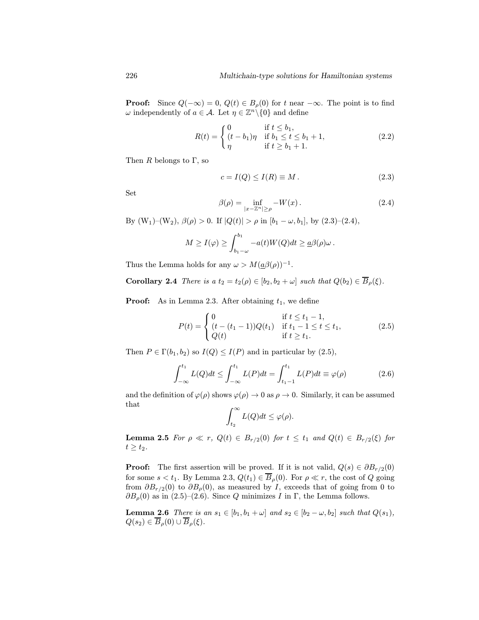**Proof:** Since  $Q(-\infty) = 0$ ,  $Q(t) \in B_\rho(0)$  for t near  $-\infty$ . The point is to find  $\omega$  independently of  $a \in \mathcal{A}$ . Let  $\eta \in \mathbb{Z}^n \setminus \{0\}$  and define

$$
R(t) = \begin{cases} 0 & \text{if } t \le b_1, \\ (t - b_1)\eta & \text{if } b_1 \le t \le b_1 + 1, \\ \eta & \text{if } t \ge b_1 + 1. \end{cases}
$$
 (2.2)

Then R belongs to  $\Gamma$ , so

$$
c = I(Q) \le I(R) \equiv M. \tag{2.3}
$$

Set

$$
\beta(\rho) = \inf_{|x - \mathbb{Z}^n| \ge \rho} -W(x). \tag{2.4}
$$

By  $(W_1)-(W_2)$ ,  $\beta(\rho) > 0$ . If  $|Q(t)| > \rho$  in  $[b_1-\omega, b_1]$ , by  $(2.3)-(2.4)$ ,

$$
M \geq I(\varphi) \geq \int_{b_1-\omega}^{b_1} -a(t)W(Q)dt \geq \underline{a}\beta(\rho)\omega.
$$

Thus the Lemma holds for any  $\omega > M(\underline{a}\beta(\rho))^{-1}$ .

**Corollary 2.4** There is a  $t_2 = t_2(\rho) \in [b_2, b_2 + \omega]$  such that  $Q(b_2) \in \overline{B}_\rho(\xi)$ .

**Proof:** As in Lemma 2.3. After obtaining  $t_1$ , we define

$$
P(t) = \begin{cases} 0 & \text{if } t \le t_1 - 1, \\ (t - (t_1 - 1))Q(t_1) & \text{if } t_1 - 1 \le t \le t_1, \\ Q(t) & \text{if } t \ge t_1. \end{cases}
$$
(2.5)

Then  $P \in \Gamma(b_1, b_2)$  so  $I(Q) \leq I(P)$  and in particular by (2.5),

$$
\int_{-\infty}^{t_1} L(Q)dt \le \int_{-\infty}^{t_1} L(P)dt = \int_{t_1-1}^{t_1} L(P)dt \equiv \varphi(\rho) \tag{2.6}
$$

and the definition of  $\varphi(\rho)$  shows  $\varphi(\rho) \to 0$  as  $\rho \to 0$ . Similarly, it can be assumed that

$$
\int_{t_2}^{\infty} L(Q)dt \le \varphi(\rho).
$$

**Lemma 2.5** For  $\rho \ll r$ ,  $Q(t) \in B_{r/2}(0)$  for  $t \leq t_1$  and  $Q(t) \in B_{r/2}(\xi)$  for  $t \geq t_2$ .

**Proof:** The first assertion will be proved. If it is not valid,  $Q(s) \in \partial B_{r/2}(0)$ for some  $s < t_1$ . By Lemma 2.3,  $Q(t_1) \in \overline{B}_\rho(0)$ . For  $\rho \ll r$ , the cost of Q going from  $\partial B_{r/2}(0)$  to  $\partial B_{\rho}(0)$ , as measured by *I*, exceeds that of going from 0 to  $\partial B_{\rho}(0)$  as in (2.5)–(2.6). Since Q minimizes I in Γ, the Lemma follows.

**Lemma 2.6** There is an  $s_1 \in [b_1, b_1 + \omega]$  and  $s_2 \in [b_2 - \omega, b_2]$  such that  $Q(s_1)$ ,  $Q(s_2) \in \overline{B}_{\rho}(0) \cup \overline{B}_{\rho}(\xi).$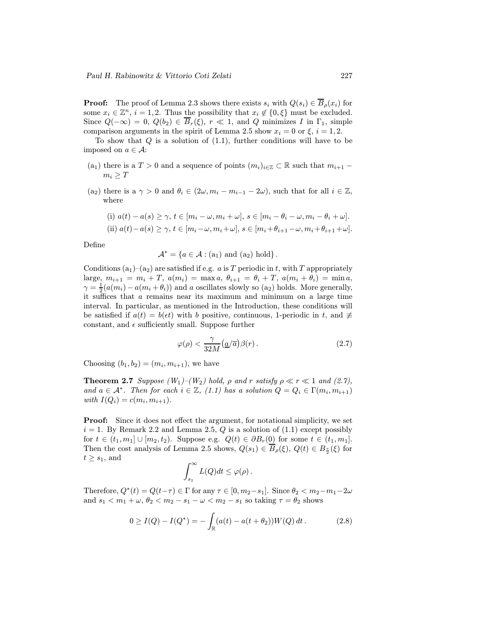**Proof:** The proof of Lemma 2.3 shows there exists  $s_i$  with  $Q(s_i) \in \overline{B}_\rho(x_i)$  for some  $x_i \in \mathbb{Z}^n$ ,  $i = 1, 2$ . Thus the possibility that  $x_i \notin \{0, \xi\}$  must be excluded. Since  $Q(-\infty) = 0$ ,  $Q(b_2) \in \overline{B}_r(\xi)$ ,  $r \ll 1$ , and Q minimizes I in  $\Gamma_1$ , simple comparison arguments in the spirit of Lemma 2.5 show  $x_i = 0$  or  $\xi$ ,  $i = 1, 2$ .

To show that  $Q$  is a solution of  $(1.1)$ , further conditions will have to be imposed on  $a \in \mathcal{A}$ :

- (a<sub>1</sub>) there is a  $T > 0$  and a sequence of points  $(m_i)_{i \in \mathbb{Z}} \subset \mathbb{R}$  such that  $m_{i+1}$   $m_i > T$
- (a<sub>2</sub>) there is a  $\gamma > 0$  and  $\theta_i \in (2\omega, m_i m_{i-1} 2\omega)$ , such that for all  $i \in \mathbb{Z}$ , where

(i) 
$$
a(t) - a(s) \ge \gamma
$$
,  $t \in [m_i - \omega, m_i + \omega]$ ,  $s \in [m_i - \theta_i - \omega, m_i - \theta_i + \omega]$ .  
\n(ii)  $a(t) - a(s) \ge \gamma$ ,  $t \in [m_i - \omega, m_i + \omega]$ ,  $s \in [m_i + \theta_{i+1} - \omega, m_i + \theta_{i+1} + \omega]$ .

Define

$$
\mathcal{A}^* = \{a \in \mathcal{A} : (a_1) \text{ and } (a_2) \text{ hold}\}.
$$

Conditions  $(a_1)$ – $(a_2)$  are satisfied if e.g. a is T periodic in t, with T appropriately large,  $m_{i+1} = m_i + T$ ,  $a(m_i) = \max a$ ,  $\theta_{i+1} = \theta_i + T$ ,  $a(m_i + \theta_i) = \min a$ ,  $\gamma = \frac{1}{2}(a(m_i) - a(m_i + \theta_i))$  and a oscillates slowly so  $(a_2)$  holds. More generally, it suffices that a remains near its maximum and minimum on a large time interval. In particular, as mentioned in the Introduction, these conditions will be satisfied if  $a(t) = b(\epsilon t)$  with b positive, continuous, 1-periodic in t, and  $\not\equiv$ constant, and  $\epsilon$  sufficiently small. Suppose further

$$
\varphi(\rho) < \frac{\gamma}{32M} \left( \frac{a}{\overline{a}} \right) \beta(r) \,. \tag{2.7}
$$

Choosing  $(b_1, b_2) = (m_i, m_{i+1})$ , we have

**Theorem 2.7** Suppose  $(W_1)$ – $(W_2)$  hold,  $\rho$  and  $r$  satisfy  $\rho \ll r \ll 1$  and (2.7), and  $a \in \mathcal{A}^*$ . Then for each  $i \in \mathbb{Z}$ , (1.1) has a solution  $Q = Q_i \in \Gamma(m_i, m_{i+1})$ with  $I(Q_i) = c(m_i, m_{i+1}).$ 

Proof: Since it does not effect the argument, for notational simplicity, we set  $i = 1$ . By Remark 2.2 and Lemma 2.5, Q is a solution of  $(1.1)$  except possibly for  $t \in (t_1, m_1] \cup [m_2, t_2)$ . Suppose e.g.  $Q(t) \in \partial B_r(0)$  for some  $t \in (t_1, m_1]$ . Then the cost analysis of Lemma 2.5 shows,  $Q(s_1) \in \overline{B}_{\rho}(\xi)$ ,  $Q(t) \in B_{\frac{r}{2}}(\xi)$  for  $t \geq s_1$ , and

$$
\int_{s_1}^{\infty} L(Q)dt \leq \varphi(\rho).
$$

Therefore,  $Q^*(t) = Q(t-\tau) \in \Gamma$  for any  $\tau \in [0, m_2 - s_1]$ . Since  $\theta_2 < m_2 - m_1 - 2\omega$ and  $s_1 < m_1 + \omega$ ,  $\theta_2 < m_2 - s_1 - \omega < m_2 - s_1$  so taking  $\tau = \theta_2$  shows

$$
0 \ge I(Q) - I(Q^*) = -\int_{\mathbb{R}} (a(t) - a(t + \theta_2))W(Q) dt.
$$
 (2.8)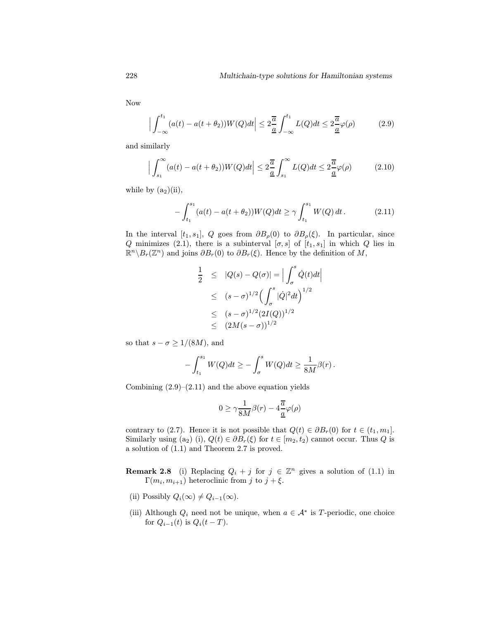Now

$$
\Big|\int_{-\infty}^{t_1} (a(t) - a(t + \theta_2)) W(Q) dt \Big| \le 2 \frac{\overline{a}}{\underline{a}} \int_{-\infty}^{t_1} L(Q) dt \le 2 \frac{\overline{a}}{\underline{a}} \varphi(\rho) \tag{2.9}
$$

and similarly

$$
\left| \int_{s_1}^{\infty} (a(t) - a(t + \theta_2)) W(Q) dt \right| \le 2 \frac{\overline{a}}{\underline{a}} \int_{s_1}^{\infty} L(Q) dt \le 2 \frac{\overline{a}}{\underline{a}} \varphi(\rho) \tag{2.10}
$$

while by  $(a_2)(ii)$ ,

$$
-\int_{t_1}^{s_1} (a(t) - a(t + \theta_2)) W(Q) dt \ge \gamma \int_{t_1}^{s_1} W(Q) dt.
$$
 (2.11)

In the interval [t<sub>1</sub>, s<sub>1</sub>], Q goes from  $\partial B_{\rho}(0)$  to  $\partial B_{\rho}(\xi)$ . In particular, since Q minimizes (2.1), there is a subinterval  $[\sigma, s]$  of  $[t_1, s_1]$  in which Q lies in  $\mathbb{R}^n \backslash B_r(\mathbb{Z}^n)$  and joins  $\partial B_r(0)$  to  $\partial B_r(\xi)$ . Hence by the definition of M,

$$
\frac{1}{2} \leq |Q(s) - Q(\sigma)| = \Big| \int_{\sigma}^{s} \dot{Q}(t) dt \Big|
$$
  
\n
$$
\leq (s - \sigma)^{1/2} \Big( \int_{\sigma}^{s} |\dot{Q}|^2 dt \Big)^{1/2}
$$
  
\n
$$
\leq (s - \sigma)^{1/2} (2I(Q))^{1/2}
$$
  
\n
$$
\leq (2M(s - \sigma))^{1/2}
$$

so that  $s - \sigma \geq 1/(8M)$ , and

$$
-\int_{t_1}^{s_1} W(Q)dt \geq -\int_{\sigma}^{s} W(Q)dt \geq \frac{1}{8M}\beta(r).
$$

Combining  $(2.9)$ – $(2.11)$  and the above equation yields

$$
0\geq \gamma \frac{1}{8M}\beta(r)-4\frac{\overline{a}}{\underline{a}}\varphi(\rho)
$$

contrary to (2.7). Hence it is not possible that  $Q(t) \in \partial B_r(0)$  for  $t \in (t_1, m_1]$ . Similarly using (a<sub>2</sub>) (i),  $Q(t) \in \partial B_r(\xi)$  for  $t \in [m_2, t_2)$  cannot occur. Thus Q is a solution of (1.1) and Theorem 2.7 is proved.

- **Remark 2.8** (i) Replacing  $Q_i + j$  for  $j \in \mathbb{Z}^n$  gives a solution of (1.1) in  $\Gamma(m_i, m_{i+1})$  heteroclinic from j to  $j + \xi$ .
- (ii) Possibly  $Q_i(\infty) \neq Q_{i-1}(\infty)$ .
- (iii) Although  $Q_i$  need not be unique, when  $a \in A^*$  is T-periodic, one choice for  $Q_{i-1}(t)$  is  $Q_i(t-T)$ .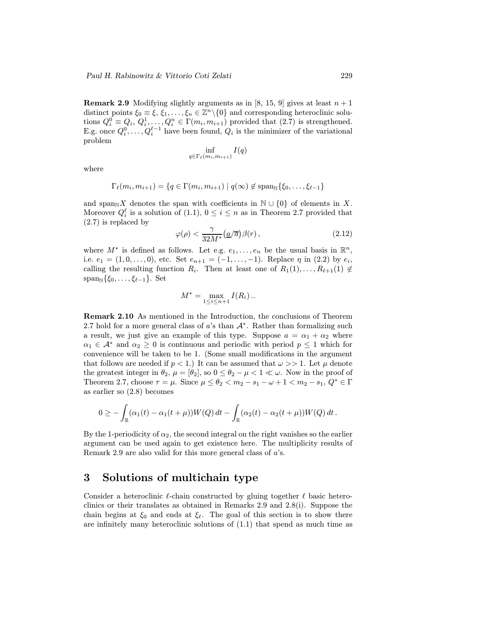**Remark 2.9** Modifying slightly arguments as in [8, 15, 9] gives at least  $n + 1$ distinct points  $\xi_0 \equiv \xi, \xi_1, \ldots, \xi_n \in \mathbb{Z}^n \backslash \{0\}$  and corresponding heteroclinic solutions  $Q_i^0 \equiv Q_i, Q_i^1, \ldots, Q_i^n \in \Gamma(m_i, m_{i+1})$  provided that  $(2.7)$  is strengthened. E.g. once  $Q_i^0, \ldots, Q_i^{\ell-1}$  have been found,  $Q_i$  is the minimizer of the variational problem

$$
\inf_{q \in \Gamma_{\ell}(m_i, m_{i+1})} I(q)
$$

where

$$
\Gamma_{\ell}(m_i, m_{i+1}) = \{q \in \Gamma(m_i, m_{i+1}) \mid q(\infty) \notin \text{span}_{\mathbb{N}}\{\xi_0, \ldots, \xi_{\ell-1}\}\
$$

and span<sub>N</sub>X denotes the span with coefficients in  $\mathbb{N} \cup \{0\}$  of elements in X. Moreover  $Q_i^{\ell}$  is a solution of (1.1),  $0 \leq i \leq n$  as in Theorem 2.7 provided that (2.7) is replaced by

$$
\varphi(\rho) < \frac{\gamma}{32M^*} \left( \frac{a}{\overline{a}} \right) \beta(r) \,, \tag{2.12}
$$

where  $M^*$  is defined as follows. Let e.g.  $e_1, \ldots, e_n$  be the usual basis in  $\mathbb{R}^n$ , i.e.  $e_1 = (1, 0, \ldots, 0)$ , etc. Set  $e_{n+1} = (-1, \ldots, -1)$ . Replace  $\eta$  in (2.2) by  $e_i$ , calling the resulting function  $R_i$ . Then at least one of  $R_1(1),\ldots,R_{\ell+1}(1) \notin$  $span_{\mathbb{N}}\{\xi_0,\ldots,\xi_{\ell-1}\}.$  Set

$$
M^* = \max_{1 \le i \le n+1} I(R_i) \dots
$$

Remark 2.10 As mentioned in the Introduction, the conclusions of Theorem 2.7 hold for a more general class of a's than  $A^*$ . Rather than formalizing such a result, we just give an example of this type. Suppose  $a = \alpha_1 + \alpha_2$  where  $\alpha_1 \in \mathcal{A}^*$  and  $\alpha_2 \geq 0$  is continuous and periodic with period  $p \leq 1$  which for convenience will be taken to be 1. (Some small modifications in the argument that follows are needed if  $p < 1$ .) It can be assumed that  $\omega >> 1$ . Let  $\mu$  denote the greatest integer in  $\theta_2$ ,  $\mu = [\theta_2]$ , so  $0 \le \theta_2 - \mu < 1 \ll \omega$ . Now in the proof of Theorem 2.7, choose  $\tau = \mu$ . Since  $\mu \leq \theta_2 < m_2 - s_1 - \omega + 1 < m_2 - s_1$ ,  $Q^* \in \Gamma$ as earlier so (2.8) becomes

$$
0\geq -\int_{\mathbb{R}} (\alpha_1(t)-\alpha_1(t+\mu))W(Q)\,dt-\int_{\mathbb{R}} (\alpha_2(t)-\alpha_2(t+\mu))W(Q)\,dt.
$$

By the 1-periodicity of  $\alpha_2$ , the second integral on the right vanishes so the earlier argument can be used again to get existence here. The multiplicity results of Remark 2.9 are also valid for this more general class of a's.

### 3 Solutions of multichain type

Consider a heteroclinic  $\ell$ -chain constructed by gluing together  $\ell$  basic heteroclinics or their translates as obtained in Remarks 2.9 and 2.8(i). Suppose the chain begins at  $\xi_0$  and ends at  $\xi_\ell$ . The goal of this section is to show there are infinitely many heteroclinic solutions of (1.1) that spend as much time as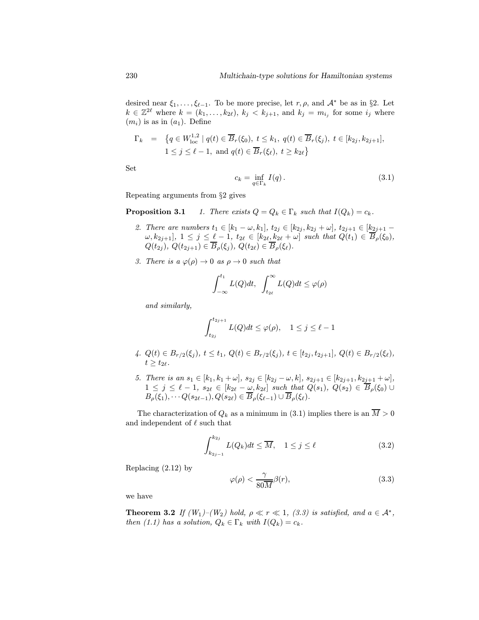desired near  $\xi_1,\ldots,\xi_{\ell-1}$ . To be more precise, let r,  $\rho$ , and  $\mathcal{A}^*$  be as in §2. Let  $k \in \mathbb{Z}^{2\ell}$  where  $k = (k_1, \ldots, k_{2\ell}), k_j < k_{j+1}$ , and  $k_j = m_{i_j}$  for some  $i_j$  where  $(m_i)$  is as in  $(a_1)$ . Define

$$
\Gamma_k = \{ q \in W_{\text{loc}}^{1,2} \mid q(t) \in \overline{B}_r(\xi_0), \ t \le k_1, \ q(t) \in \overline{B}_r(\xi_j), \ t \in [k_{2j}, k_{2j+1}], 1 \le j \le \ell - 1, \text{ and } q(t) \in \overline{B}_r(\xi_\ell), \ t \ge k_{2\ell} \}
$$

Set

$$
c_k = \inf_{q \in \Gamma_k} I(q). \tag{3.1}
$$

Repeating arguments from §2 gives

**Proposition 3.1** 1. There exists  $Q = Q_k \in \Gamma_k$  such that  $I(Q_k) = c_k$ .

- 2. There are numbers  $t_1 \in [k_1 \omega, k_1], t_{2j} \in [k_{2j}, k_{2j} + \omega], t_{2j+1} \in [k_{2j+1} \omega]$  $\omega, k_{2j+1}], 1 \leq j \leq \underline{\ell} - 1, t_{2\ell} \in [k_{2\ell}, k_{2\ell} + \omega]$  such that  $Q(t_1) \in \overline{B}_{\rho}(\xi_0),$  $Q(t_{2i}), Q(t_{2i+1}) \in \overline{B}_{\rho}(\xi_i), Q(t_{2\ell}) \in \overline{B}_{\rho}(\xi_{\ell}).$
- 3. There is a  $\varphi(\rho) \to 0$  as  $\rho \to 0$  such that

$$
\int_{-\infty}^{t_1} L(Q)dt, \ \int_{t_{2\ell}}^{\infty} L(Q)dt \leq \varphi(\rho)
$$

and similarly,

$$
\int_{t_{2j}}^{t_{2j+1}} L(Q)dt \le \varphi(\rho), \quad 1 \le j \le \ell-1
$$

- 4.  $Q(t) \in B_{r/2}(\xi_j)$ ,  $t \le t_1$ ,  $Q(t) \in B_{r/2}(\xi_j)$ ,  $t \in [t_{2j}, t_{2j+1}]$ ,  $Q(t) \in B_{r/2}(\xi_\ell)$ ,  $t \geq t_{2\ell}.$
- 5. There is an  $s_1 \in [k_1, k_1 + \omega]$ ,  $s_{2j} \in [k_{2j} \omega, k]$ ,  $s_{2j+1} \in [k_{2j+1}, k_{2j+1} + \omega]$ ,  $1 \leq j \leq \ell - 1$ ,  $s_{2\ell} \in [k_{2\ell} - \omega, k_{2\ell}]$  such that  $Q(s_1), Q(s_2) \in \overline{B}_{\rho}(\xi_0) \cup$  $B_{\rho}(\xi_1), \cdots Q(s_{2\ell-1}), Q(s_{2\ell}) \in \overline{B}_{\rho}(\xi_{\ell-1}) \cup \overline{B}_{\rho}(\xi_{\ell}).$

The characterization of  $Q_k$  as a minimum in (3.1) implies there is an  $\overline{M} > 0$ and independent of  $\ell$  such that

$$
\int_{k_{2j-1}}^{k_{2j}} L(Q_k)dt \le \overline{M}, \quad 1 \le j \le \ell \tag{3.2}
$$

Replacing (2.12) by

$$
\varphi(\rho) < \frac{\gamma}{80\overline{M}}\beta(r),\tag{3.3}
$$

we have

**Theorem 3.2** If  $(W_1)$ – $(W_2)$  hold,  $\rho \ll r \ll 1$ , (3.3) is satisfied, and  $a \in \mathcal{A}^*$ , then (1.1) has a solution,  $Q_k \in \Gamma_k$  with  $I(Q_k) = c_k$ .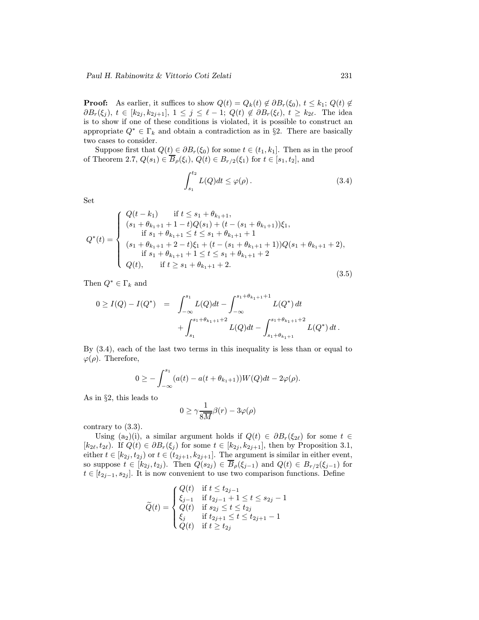**Proof:** As earlier, it suffices to show  $Q(t) = Q_k(t) \notin \partial B_r(\xi_0), t \leq k_1; Q(t) \notin$  $\partial B_r(\xi_j), t \in [k_{2j}, k_{2j+1}], 1 \leq j \leq \ell - 1; Q(t) \notin \partial B_r(\xi_\ell), t \geq k_{2\ell}.$  The idea is to show if one of these conditions is violated, it is possible to construct an appropriate  $Q^* \in \Gamma_k$  and obtain a contradiction as in §2. There are basically two cases to consider.

Suppose first that  $Q(t) \in \partial B_r(\xi_0)$  for some  $t \in (t_1, k_1]$ . Then as in the proof of Theorem 2.7,  $Q(s_1) \in \overline{B}_{\rho}(\xi_i)$ ,  $Q(t) \in B_{r/2}(\xi_1)$  for  $t \in [s_1, t_2]$ , and

$$
\int_{s_1}^{t_2} L(Q)dt \le \varphi(\rho).
$$
 (3.4)

Set

$$
Q^*(t) = \begin{cases} Q(t - k_1) & \text{if } t \le s_1 + \theta_{k_1 + 1}, \\ (s_1 + \theta_{k_1 + 1} + 1 - t)Q(s_1) + (t - (s_1 + \theta_{k_1 + 1}))\xi_1, \\ \text{if } s_1 + \theta_{k_1 + 1} \le t \le s_1 + \theta_{k_1 + 1} + 1 \\ (s_1 + \theta_{k_1 + 1} + 2 - t)\xi_1 + (t - (s_1 + \theta_{k_1 + 1} + 1))Q(s_1 + \theta_{k_1 + 1} + 2), \\ \text{if } s_1 + \theta_{k_1 + 1} + 1 \le t \le s_1 + \theta_{k_1 + 1} + 2 \\ Q(t), & \text{if } t \ge s_1 + \theta_{k_1 + 1} + 2. \end{cases} \tag{3.5}
$$

Then  $Q^* \in \Gamma_k$  and

$$
0 \geq I(Q) - I(Q^*) = \int_{-\infty}^{s_1} L(Q)dt - \int_{-\infty}^{s_1 + \theta_{k_1+1} + 1} L(Q^*) dt + \int_{s_1}^{s_1 + \theta_{k_1+1} + 2} L(Q)dt - \int_{s_1 + \theta_{k_1+1}}^{s_1 + \theta_{k_1+1} + 2} L(Q^*) dt.
$$

By (3.4), each of the last two terms in this inequality is less than or equal to  $\varphi(\rho)$ . Therefore,

$$
0 \geq -\int_{-\infty}^{s_1} (a(t) - a(t + \theta_{k_1+1})) W(Q) dt - 2\varphi(\rho).
$$

As in §2, this leads to

$$
0 \ge \gamma \frac{1}{8\overline{M}}\beta(r) - 3\varphi(\rho)
$$

contrary to (3.3).

Using (a<sub>2</sub>)(i), a similar argument holds if  $Q(t) \in \partial B_r(\xi_{2\ell})$  for some  $t \in$  $[k_{2\ell}, t_{2\ell})$ . If  $Q(t) \in \partial B_r(\xi_j)$  for some  $t \in [k_{2j}, k_{2j+1}]$ , then by Proposition 3.1, either  $t \in [k_{2j}, t_{2j})$  or  $t \in (t_{2j+1}, k_{2j+1}]$ . The argument is similar in either event, so suppose  $t \in [k_{2j}, t_{2j})$ . Then  $Q(s_{2j}) \in \overline{B}_{\rho}(\xi_{j-1})$  and  $Q(t) \in B_{r/2}(\xi_{j-1})$  for  $t \in [t_{2j-1}, s_{2j}]$ . It is now convenient to use two comparison functions. Define

$$
\widetilde{Q}(t) = \begin{cases} Q(t) & \text{if } t \leq t_{2j-1} \\ \xi_{j-1} & \text{if } t_{2j-1}+1 \leq t \leq s_{2j}-1 \\ Q(t) & \text{if } s_{2j} \leq t \leq t_{2j} \\ \xi_j & \text{if } t_{2j+1} \leq t \leq t_{2j+1}-1 \\ Q(t) & \text{if } t \geq t_{2j} \end{cases}
$$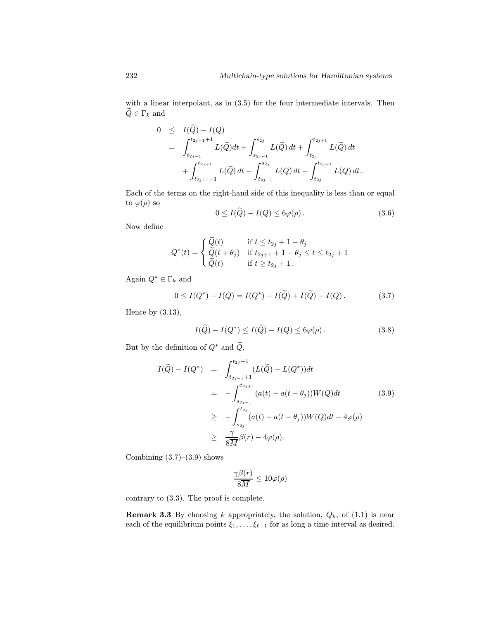with a linear interpolant, as in  $(3.5)$  for the four intermediate intervals. Then  $\widetilde{Q} \in \Gamma_k$  and

$$
0 \leq I(\widetilde{Q}) - I(Q)
$$
  
=  $\int_{t_{2j-1}}^{t_{2j-1}+1} L(\widetilde{Q}) dt + \int_{s_{2j-1}}^{s_{2j}} L(\widetilde{Q}) dt + \int_{t_{2j}}^{t_{2j+1}} L(\widetilde{Q}) dt + \int_{t_{2j+1}}^{t_{2j+1}} L(\widetilde{Q}) dt - \int_{t_{2j-1}}^{s_{2j}} L(Q) dt - \int_{t_{2j}}^{t_{2j+1}} L(Q) dt.$ 

Each of the terms on the right-hand side of this inequality is less than or equal to  $\varphi(\rho)$  so

$$
0 \le I(\widetilde{Q}) - I(Q) \le 6\varphi(\rho). \tag{3.6}
$$

Now define

$$
Q^*(t) = \begin{cases} \widetilde{Q}(t) & \text{if } t \le t_{2j} + 1 - \theta_j \\ \widetilde{Q}(t + \theta_j) & \text{if } t_{2j+1} + 1 - \theta_j \le t \le t_{2j} + 1 \\ \widetilde{Q}(t) & \text{if } t \ge t_{2j} + 1. \end{cases}
$$

Again  $Q^* \in \Gamma_k$  and

$$
0 \le I(Q^*) - I(Q) = I(Q^*) - I(\tilde{Q}) + I(\tilde{Q}) - I(Q). \tag{3.7}
$$

Hence by  $(3.13)$ ,

$$
I(\widetilde{Q}) - I(Q^*) \leq I(\widetilde{Q}) - I(Q) \leq 6\varphi(\rho).
$$
 (3.8)

But by the definition of  $Q^*$  and  $\widetilde{Q},$ 

$$
I(\widetilde{Q}) - I(Q^*) = \int_{t_{2j-1}+1}^{t_{2j}+1} (L(\widetilde{Q}) - L(Q^*))dt
$$
  
\n
$$
= -\int_{s_{2j-1}}^{t_{2j+1}} (a(t) - a(t - \theta_j))W(Q)dt
$$
(3.9)  
\n
$$
\geq -\int_{s_{2j}}^{t_{2j}} (a(t) - a(t - \theta_j))W(Q)dt - 4\varphi(\rho)
$$
  
\n
$$
\geq \frac{\gamma}{8M}\beta(r) - 4\varphi(\rho).
$$

Combining  $(3.7)$ – $(3.9)$  shows

$$
\frac{\gamma\beta(r)}{8\overline{M}}\leq 10\varphi(\rho)
$$

contrary to (3.3). The proof is complete.

**Remark 3.3** By choosing k appropriately, the solution,  $Q_k$ , of  $(1.1)$  is near each of the equilibrium points  $\xi_1,\ldots,\xi_{\ell-1}$  for as long a time interval as desired.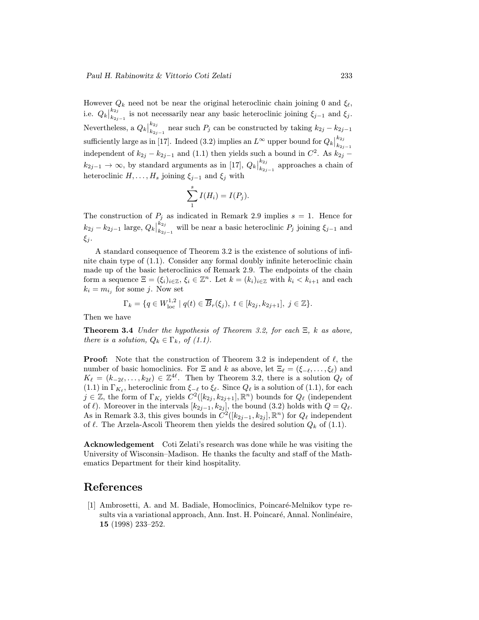However  $Q_k$  need not be near the original heteroclinic chain joining 0 and  $\xi_{\ell}$ , i.e.  $Q_k\big|_{k_{2j-1}}^{k_{2j}}$  is not necessarily near any basic heteroclinic joining  $\xi_{j-1}$  and  $\xi_j$ . Nevertheless, a  $Q_k\big|_{k_{2j-1}}^{k_{2j}}$  near such  $P_j$  can be constructed by taking  $k_{2j}-k_{2j-1}$ sufficiently large as in [17]. Indeed (3.2) implies an  $L^{\infty}$  upper bound for  $Q_k|_{k_{2j}}^{k_{2j}}$  $k_{2j-1}$ independent of  $k_{2j} - k_{2j-1}$  and (1.1) then yields such a bound in  $C^2$ . As  $k_{2j}$  –  $k_{2j-1} \rightarrow \infty$ , by standard arguments as in [17],  $Q_k\big|_{k_{2j}}^{k_{2j}}$  $\sum_{k_{2j-1}}^{k_{2j}}$  approaches a chain of heteroclinic  $H, \ldots, H_s$  joining  $\xi_{j-1}$  and  $\xi_j$  with

$$
\sum_1^s I(H_i) = I(P_j).
$$

The construction of  $P_j$  as indicated in Remark 2.9 implies  $s = 1$ . Hence for  $k_{2j} - k_{2j-1}$  large,  $Q_k\big|_{k_{2j-1}}^{k_{2j}}$  will be near a basic heteroclinic  $P_j$  joining  $\xi_{j-1}$  and ξj .

A standard consequence of Theorem 3.2 is the existence of solutions of infinite chain type of (1.1). Consider any formal doubly infinite heteroclinic chain made up of the basic heteroclinics of Remark 2.9. The endpoints of the chain form a sequence  $\Xi = (\xi_i)_{i \in \mathbb{Z}}, \xi_i \in \mathbb{Z}^n$ . Let  $k = (k_i)_{i \in \mathbb{Z}}$  with  $k_i < k_{i+1}$  and each  $k_i = m_{i_i}$  for some j. Now set

$$
\Gamma_k = \{ q \in W^{1,2}_{loc} \mid q(t) \in \overline{B}_r(\xi_j), \ t \in [k_{2j}, k_{2j+1}], \ j \in \mathbb{Z} \}.
$$

Then we have

**Theorem 3.4** Under the hypothesis of Theorem 3.2, for each  $\Xi$ , k as above, there is a solution,  $Q_k \in \Gamma_k$ , of (1.1).

**Proof:** Note that the construction of Theorem 3.2 is independent of  $\ell$ , the number of basic homoclinics. For  $\Xi$  and k as above, let  $\Xi_\ell = (\xi_{-\ell},\ldots,\xi_\ell)$  and  $K_{\ell} = (k_{-2\ell},\ldots,k_{2\ell}) \in \mathbb{Z}^{4\ell}$ . Then by Theorem 3.2, there is a solution  $Q_{\ell}$  of (1.1) in  $\Gamma_{K_\ell}$ , heteroclinic from  $\xi_{-\ell}$  to  $\xi_{\ell}$ . Since  $Q_\ell$  is a solution of (1.1), for each  $j \in \mathbb{Z}$ , the form of  $\Gamma_{K_\ell}$  yields  $C^2([k_{2j} , k_{2j+1}], \mathbb{R}^n)$  bounds for  $Q_\ell$  (independent of  $\ell$ ). Moreover in the intervals  $[k_{2j-1}, k_{2j}]$ , the bound (3.2) holds with  $Q = Q_{\ell}$ . As in Remark 3.3, this gives bounds in  $C^2([k_{2j-1}, k_{2j}], \mathbb{R}^n)$  for  $Q_\ell$  independent of  $\ell$ . The Arzela-Ascoli Theorem then yields the desired solution  $Q_k$  of (1.1).

Acknowledgement Coti Zelati's research was done while he was visiting the University of Wisconsin–Madison. He thanks the faculty and staff of the Mathematics Department for their kind hospitality.

## References

[1] Ambrosetti, A. and M. Badiale, Homoclinics, Poincaré-Melnikov type results via a variational approach, Ann. Inst. H. Poincaré, Annal. Nonlinéaire, 15 (1998) 233–252.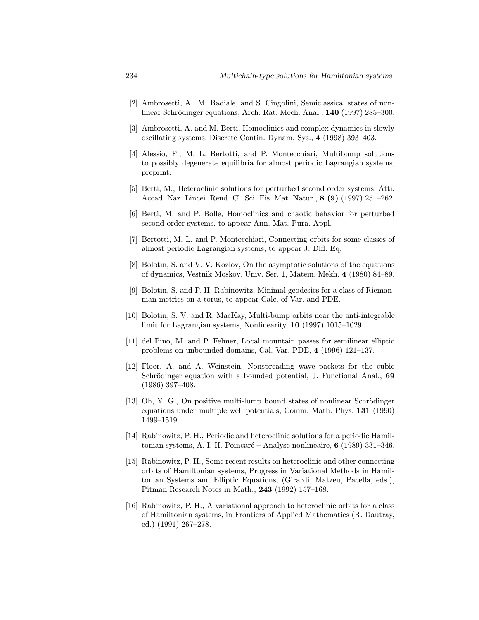- [2] Ambrosetti, A., M. Badiale, and S. Cingolini, Semiclassical states of nonlinear Schrödinger equations, Arch. Rat. Mech. Anal., 140 (1997) 285–300.
- [3] Ambrosetti, A. and M. Berti, Homoclinics and complex dynamics in slowly oscillating systems, Discrete Contin. Dynam. Sys., 4 (1998) 393–403.
- [4] Alessio, F., M. L. Bertotti, and P. Montecchiari, Multibump solutions to possibly degenerate equilibria for almost periodic Lagrangian systems, preprint.
- [5] Berti, M., Heteroclinic solutions for perturbed second order systems, Atti. Accad. Naz. Lincei. Rend. Cl. Sci. Fis. Mat. Natur., 8 (9) (1997) 251–262.
- [6] Berti, M. and P. Bolle, Homoclinics and chaotic behavior for perturbed second order systems, to appear Ann. Mat. Pura. Appl.
- [7] Bertotti, M. L. and P. Montecchiari, Connecting orbits for some classes of almost periodic Lagrangian systems, to appear J. Diff. Eq.
- [8] Bolotin, S. and V. V. Kozlov, On the asymptotic solutions of the equations of dynamics, Vestnik Moskov. Univ. Ser. 1, Matem. Mekh. 4 (1980) 84–89.
- [9] Bolotin, S. and P. H. Rabinowitz, Minimal geodesics for a class of Riemannian metrics on a torus, to appear Calc. of Var. and PDE.
- [10] Bolotin, S. V. and R. MacKay, Multi-bump orbits near the anti-integrable limit for Lagrangian systems, Nonlinearity, 10 (1997) 1015–1029.
- [11] del Pino, M. and P. Felmer, Local mountain passes for semilinear elliptic problems on unbounded domains, Cal. Var. PDE, 4 (1996) 121–137.
- [12] Floer, A. and A. Weinstein, Nonspreading wave packets for the cubic Schrödinger equation with a bounded potential, J. Functional Anal., 69 (1986) 397–408.
- [13] Oh, Y. G., On positive multi-lump bound states of nonlinear Schrödinger equations under multiple well potentials, Comm. Math. Phys. 131 (1990) 1499–1519.
- [14] Rabinowitz, P. H., Periodic and heteroclinic solutions for a periodic Hamiltonian systems, A. I. H. Poincaré – Analyse nonlineaire, 6 (1989)  $331-346$ .
- [15] Rabinowitz, P. H., Some recent results on heteroclinic and other connecting orbits of Hamiltonian systems, Progress in Variational Methods in Hamiltonian Systems and Elliptic Equations, (Girardi, Matzeu, Pacella, eds.), Pitman Research Notes in Math., 243 (1992) 157–168.
- [16] Rabinowitz, P. H., A variational approach to heteroclinic orbits for a class of Hamiltonian systems, in Frontiers of Applied Mathematics (R. Dautray, ed.) (1991) 267–278.